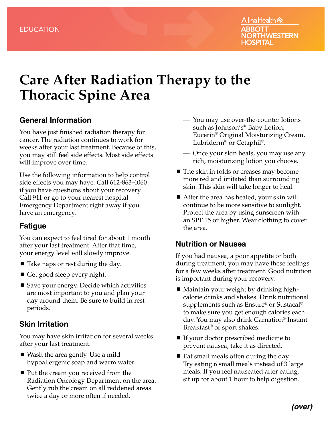# **Care After Radiation Therapy to the Thoracic Spine Area**

#### **General Information**

You have just finished radiation therapy for cancer. The radiation continues to work for weeks after your last treatment. Because of this, you may still feel side effects. Most side effects will improve over time.

Use the following information to help control side effects you may have. Call 612-863-4060 if you have questions about your recovery. Call 911 or go to your nearest hospital Emergency Department right away if you have an emergency.

### **Fatigue**

You can expect to feel tired for about 1 month after your last treatment. After that time, your energy level will slowly improve.

- Take naps or rest during the day.
- Get good sleep every night.
- Save your energy. Decide which activities are most important to you and plan your day around them. Be sure to build in rest periods.

### **Skin Irritation**

You may have skin irritation for several weeks after your last treatment.

- Wash the area gently. Use a mild hypoallergenic soap and warm water.
- Put the cream you received from the Radiation Oncology Department on the area. Gently rub the cream on all reddened areas twice a day or more often if needed.
- You may use over-the-counter lotions such as Johnson's® Baby Lotion, Eucerin® Original Moisturizing Cream, Lubriderm® or Cetaphil®.
- Once your skin heals, you may use any rich, moisturizing lotion you choose.
- The skin in folds or creases may become more red and irritated than surrounding skin. This skin will take longer to heal.
- After the area has healed, your skin will continue to be more sensitive to sunlight. Protect the area by using sunscreen with an SPF 15 or higher. Wear clothing to cover the area.

### **Nutrition or Nausea**

If you had nausea, a poor appetite or both during treatment, you may have these feelings for a few weeks after treatment. Good nutrition is important during your recovery.

- Maintain your weight by drinking highcalorie drinks and shakes. Drink nutritional supplements such as Ensure® or Sustacal® to make sure you get enough calories each day. You may also drink Carnation® Instant Breakfast® or sport shakes.
- If your doctor prescribed medicine to prevent nausea, take it as directed.
- $\blacksquare$  Eat small meals often during the day. Try eating 6 small meals instead of 3 large meals. If you feel nauseated after eating, sit up for about 1 hour to help digestion.